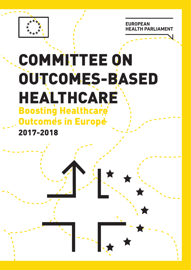**EUROPEAN EALTH PARLIAME** 



## COMMITTEE ON OUTCOMES-BASED HEALTHCARE **Boosting Healthcare Outcomes in Europe-**2017-2018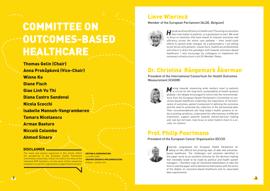

Thomas Gelin (Chair) Anna Prokůpková (Vice-Chair) Winne Ko Diane Fisch Giao Linh Vu Thi Diana Castro Sandoval Nicola Scocchi Isabelle Manneh-Vangramberen Tamara Nicolaescu Arman Basturo Niccolò Colombo Ahmed Sinara

# COMMITTEE ON OUTCOMES-BASED HEALTHCARE

**H**ow do we drive efficiency in health care? Focusing on outcomes that truly matter to patients, is a good place to start. We need to focus on solutions that have shown to improve outcomes and efficiency across the entire care pathway – from small-scale efforts to system-wide changes. As a policymakers, I am willing to join forces with patients, researchers, healthcare professionals and others to drive this paradigm shift towards outcomes-based healthcare. I also encourage my colleagues to implement the necessary infrastructure in all EU Member States.

**M** oving towards measuring what matters most to patients is crucial for the long-term sustainability of health systems globally. I am deeply encouraged to notice how the recommendations from the European Health Parliament's Committee on outcomes-based healthcare underlines the importance of harmonization of outcomes, patient involvement in defining the outcomes and the need to automate the collection of the harmonized data. Their recommendations will help today's health systems to reduce existing variations, understand the effectiveness of different treatments, support patients towards shared-decision making and, last but not least, fully focus on what matters most to a society: its citizens!

**I** warmly congratulate the European Health Parliament for<br>taking on this difficult but pressing topic of data and outcomeswarmly congratulate the European Health Parliament for based healthcare. The challenges and solutions identified in this paper serve as an excellent stimulus for the decision-making that inevitably needs to be made by political and health system managers. I therefore urge all interested stakeholders to take the time to read the paper and to familiarise themselves with the terms of the debate on outcomes-based healthcare and its associated data requirements.

### Lieve Wierinck

Member of the European Parliament (ALDE, Belgium)



### Dr. Christina Rångemark Åkerman

President of the International Consortium for Health Outcomes Measurement (ICHOM)



### Prof. Philip Poortmans

President of the European Cancer Organisation (ECCO)



### DISCLAIMER

The views and opinion expressed in this article reflect the perspective of the European Health Parliament Committees collectively. It does not reflect the views of the individual EHP members, nor the views of their respective employers or partner organizations supporting the project.

EDITING & COORDINATION: Luca BELLOMO GRAPHIC DESIGN & IMPLEMENTATION: Polydea - polydea.com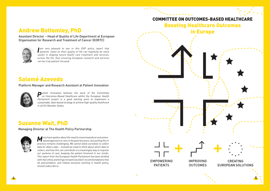

**I** am very pleased to see in this EHP policy report that **patients'** views on their quality of life can hopefully be more am very pleased to see in this EHP policy report that useful in shaping future health care treatment and services, across the EU, thus ensuring European research and services can be truly patient-focused.

**M**any have spoken about the need to move towards an outcomes-based approach to care in the past few years, but putting this in practice remains challenging. We cannot allow ourselves to collect data for data's sake – instead we need to think about which data to collect, and how this can contribute in a meaningful way to improve our systems of care, keeping the patient foremost in our minds. This report from the European Health Parliament has been drafted with that ethos and brings forward excellent recommendations that all policymakers, and indeed everyone working in health policy, should subscribe to.

**P**atient Innovation believes the work of the Committee on Outcomes-Based Healthcare within the European Health Parliament project is a good starting point to implement a sustainable, data-based strategy to achieve high-quality healthcare in all EU Member States.

### Andrew Bottomley, PhD

Assistant Director – Head of Quality of Life Department at European Organisation for Research and Treatment of Cancer (EORTC)



### Suzanne Wait, PhD

Managing Director at The Health Policy Partnership



### Salomé Azevedo

### Platform Manager and Research Assistant at Patient Innovation





### COMMITTEE ON OUTCOMES-BASED HEALTHCARE Boosting Healthcare Outcomes in Europe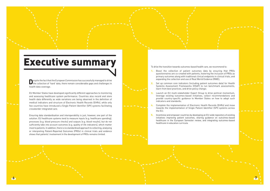

**D**espite the fact that the European Commission has successfully managed to drive the collection of 'hard' data, there remain considerable gaps and challenges in health data coverage.

EU Member States have developed significantly different approaches to monitoring and assessing healthcare system performance. Countries also record and store health data differently as wide variations are being observed in the definition of medical indicators and structure of Electronic Health Records (EHRs), while only few countries have introduced a Single Patient Identifier (SPI) systems facilitating crossborder integrated care.

Ensuring data standardisation and interoperability is just, however, one part of the solution. EU healthcare systems tend to measure inputs (e.g. healthcare spending), processes (e.g. blood pressure checks) and outputs (e.g. blood results), but do not sufficiently take into account outcomes (e.g. quality of life indicators), which matter most to patients. In addition, there is no standardised approach to collecting, analysing or interpreting Patient-Reported Outcomes (PROs) in clinical trials and evidence shows that patients' involvement in the development of PROs remains limited.

- 1. Boost the collection of patient outcomes data by ensuring that PROs questionnaires are co-created with patients, fostering the inclusion of PROs as primary outcomes along with traditional clinical endpoints in clinical trials, and expanding the collection and use of Real World Evidence (RWE);
- 2. Set up common core indicators (including patient outcomes data) for Health Systems Assessment Frameworks (HSAF) to run benchmark assessments, learn from best practices, and drive policy change;
- 3. Launch an EU multi-stakeholder Expert Group to drive political momentum, leverage existing outcomes-based initiatives, collect recommendations and provide country-specific guidance to Member States on how to adopt such indicators and standards;
- 4. Complete the implementation of Electronic Health Records (EHRs) and move towards the implementation of Single Patient Identifier (SPI) systems across the EU;
- 5. Incentivise and empower countries by developing an EU-wide repository of existing initiatives improving patient outcomes, sharing guidance on outcomes-based healthcare in the European Semester review, and integrating outcomes-based healthcare in education curricula.

To drive the transition towards outcomes-based health care, we recommend to:

# Executive summary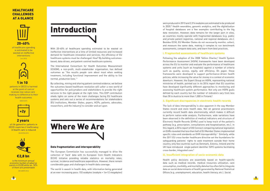**8**



With 20-40% of healthcare spending estimated to be wasted on ineffective interventions at a time of limited resources and increased demand for healthcare innovation and services, the efficiency of EU healthcare systems must be challenged. How? By building outcomesbased, data-driven, and patient-centred healthcare systems.

The International Consortium for Health Outcomes Measurement (ICHOM), a non-profit, multi-stakeholder organisation, has defined outcomes as "the results people care about most when seeking treatment, including functional improvement and the ability to live normal, productive lives." 1

20-40% of healthcare spending is estimated to be wasted on ineffective interventions ( WHO 2010)



### **HEALTHCARE CHALLENGES** AT A GLANCE



By collecting, mining and sharing patient-centred evidence, we believe the outcomes-based healthcare revolution will usher a new world of opportunities for policymakers and stakeholders to provide the right services to the right people at the right time. This EHP contribution sheds lights on some of the main challenges facing EU healthcare systems and sets out a series of recommendations for stakeholders (EU institutions, Member States, payers, HCPs, patients, advocates, researchers, and the industry) to consider and act upon.



### 1 in 1 0

patients in OECD is harmed at the point of care or receives low-value care making no difference to their health outcome s



2 years





€2,8 b n is the minimum annual

economic burden of adverse events in EU28 while 44-50% of them are preventable

(DG SANTE 2016)

### Data fragmentation and interoperability

The European Commission has successfully managed to drive the collection of 'hard' data with its European Core Health Indicators (ECHI) initiative providing reliable statistics on mortality rates, survival, incidence and healthcare expenditure. However, there remain considerable gaps and challenges in health data coverage.

Following the adoption of the 2008 Tallinn Charter,<sup>3</sup> Health System Performance Assessment (HSPA) frameworks have been developed across the EU to monitor and evaluate the performance of healthcare systems and units (such as hospitals) against a number of criteria such as quality, access, equity, and efficiency. On paper, these frameworks were developed to support performance-driven health policies, while increasing the value for money in a context of economic downturn. However, the Expert Group on HSPA, representing national ministries of health, pointed out in its 2014 report that EU countries have developed significantly different approaches to monitoring and assessing healthcare system performance. Not only are HSPA goals defined by each country but the number of indicators vary from less than 30 in Austria to more than 1,000 in Finland. 4

The world is awash in health data, with information being generated at an ever-increasing pace: 153 exabytes (exabyte = 1e+12 megabytes) were produced in 2013 and 2,314 exabytes are estimated to be produced in 2020. 2 Health wearables, genomic analytics, and the digitalisation of hospital databases are a few examples contributing to the big data revolution. However, data remains for the larger part in silos, as countries mostly operate with fragmented databases (e.g. public and private patient registries, national and regional databases, etc.). Besides ECHI, EU Member States do not necessarily monitor, collect, and measure the same data, making it complex to run benchmark assessments, compare data sets, and learn from best practices.

### **i. Fragmented assessments of healthcare systems**

### **ii. Significant discrepancies in electronic health records**

The lack of data interoperability is also apparent in the way Member States record and store health data. Not all general practitioners currently record health data electronically, which makes it difficult to perform nation-wide analysis. Furthermore, wide variations have been observed in the definition of medical indicators and structure of Electronic Health Records (EHRs) used to keep track of the patient's pathway (e.g. prescription, consultations and hospitalisation, etc.). In this regard, a 2014 report of DG Connect comparing national legislation on EHRs revealed that less than half of EU Member States implemented specific rules and standards on EHR interoperability. 5 Similarly, while the 2011 EU cross-border healthcare directive set the foundations for safeguarding patients' rights to seek treatment outside their home country, only few countries such as Denmark, Estonia, Ireland and the UK have introduced single patient identifier (SPI) systems facilitating cross-border, integrated care. 6

### **iii. Insufficient integration of socio-economic data**

Health policy decisions are essentially based on health-specific data such as medical records, medical resources utilisation, care consumption, morbidity, and mortality data but too often fail to integrate data on social determinants of health generated by National Statistical Offices (e.g. unemployment, education, health literacy, etc.). Social



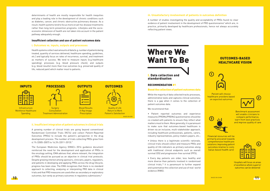

determinants of health are mostly responsible for health inequities and play a leading role in the development of chronic conditions such as diabetes, cancer, and chronic obstructive pulmonary disease. As a result, health systems tend to focus more on ad-hoc disease treatments rather than long-term prevention programs. Lifestyles and the socioeconomic dimension of health are not taken into account in the patient pathway adequately enough.

### Insufficient collection and use of patient outcomes data



**Parality of Life returns** Return to Work Patient's Satisfaction

#### **i. Outcomes vs. inputs, outputs and processes**



Infrastructure Infrastructure workforce Workforce Healthcare healthcare spending



Surgery consultation of  $\mathsf{Surgery}$ Consultation **Treatment Administration** 



and Blood Results image blok. **X-R**ay Image **Prescription** 

Health systems collect vast amounts of data (e.g. number of patients being treated, quantity of services delivered, healthcare spending, guidelines, etc.) and typically focus on rates of recurrence, survival, and treatment as markers of success. We tend to measure inputs (e.g.healthcare spending), processes (e.g. blood pressure check), and outputs (e.g. blood results) more than true outcomes (e.g. preserved quality of life, reduced pain) which matter most to patients.



### **ii. Insufficient integration of patient outcomes in clinical trials**

A growing number of clinical trials are going beyond conventional Randomised Controlled Trials (RCTs) and collect Patient-Reported Outcomes (PROs) to include the patient's perspective in the drug development process. The number of trials collecting PROs grew from 6.1% (2005-2007) to 16.3% (2011-2013).7

The European Medicines Agency (EMA)'s 2016 guidance document reinforced the need for the development and application of PROs in the oncology setting. EMA advises that, where relevant, the integration of PROs should be pursued as an objective in clinical trial protocols. Despite growing interest among sponsors, clinicians, payers, regulators, and patients in developing and applying PROs across the drug lifecycle, progress has been slow. The EMA recognises that there is no standard approach to collecting, analysing or interpreting PRO data in clinical trials and that PRO measures are used often as secondary or exploratory outcomes, but rarely as primary outcomes in regulatory submissions.8

### **iii. Unsatisfactory involvement of patients in outcomes definition**

A number of studies investigating the quality and acceptability of PROs found no clear evidence of patient involvement in the development of PRO questionnaires<sup>9</sup> which are, in practice, primarily developed by healthcare professionals, hence not always accurately reflecting patient views.

### I. Data collection and standardisation

### RECOMMENDATION #1

#### Boost the collection of patient outcomes data

While the majority of data collected tracks processes, administrative tasks and captures clinical outcomes, there is a gap when it comes to the collection of patient outcomes data.

We recommend that:

• Patient reported outcomes and experience measures (PROMs/PREMs) questionnaires should be co-created with patients to ensure they reflect what matters most to them. More generally, it is paramount to make sure that outcomes-based healthcare is driven via an inclusive, multi-stakeholder approach, including healthcare professionals, patients, carers, industry representatives, policy-makers payers, etc.;

• Unless there is a legitimate scientific rationale, clinical trials should collect and measure PROs and quality-of-life indicators as primary outcomes along with traditional clinical endpoints such as overall survival (OS) and progression-free survival (PFS);

• Every day patients are older, less healthy and more diverse than patients involved in randomised clinical trials, $10$  it is paramount to further expand and systematise the collection and use of real- world evidence (RWE).

BASED ON OBH

### Where We Want To Be



Hospitals will focus on areas of excellence where superior outcomes can be delivered

BASED ON ICHOM **A DEALER AND A DEALER AND A DEALER AND A**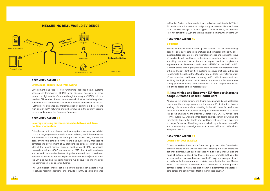

#### RECOMMENDATION #2

#### Create high-quality HSPA frameworks

Development and use of well-functioning national health systems assessment frameworks (HSPA) is an absolute necessity in order to reach a high quality of care. Although the design of HSPA is in the hands of EU Member States, common core indicators (including patient outcomes data) should be established to enable comparison of results. Furthermore, guidance on implementation of common indicators and high-quality HSPA networks should be included in the country-specific recommendations of the European Semester.

### RECOMMENDATION #3

### Leverage existing outcomes-based initiatives and drive political momentum

to Member States on how to adopt such indicators and standards.<sup>11</sup> Such EU leadership is important to bridge the gap between Member States (as 6 countries – Bulgaria, Croatia, Cyprus, Lithuania, Malta, and Romania – are not part of the OECD) and to drive political momentum across the EU.

Policy and practice need to catch up with science. The use of technology does not only allow data to be analysed and compared efficiently, but it also facilitates patients' (i.e. end-users) experience and tackles the issue of overburdened healthcare professionals, enabling faster reporting and filing systems. Hence, there is an urgent need to complete the implementation of electronic health reports (EHRs) across the EU. All EU Member States should progressively move towards the implementation of Single Patient Identifier (SPI) systems to ensure that patient files are transferable throughout the EU and to fully facilitate the implementation of cross-border healthcare, allowing swift patient movement and avoiding the duplication of health exams. Moreover, the Eurobarometer survey published in May 2017 showed that 52% of respondents would like online access to their medical data.<sup>12</sup>

To implement outcomes-based healthcare systems, we need to establish common language on outcomes to ensure that every institution measures and collects data serving the same purpose. Since 2012, ICHOM has been driving this ambition forward and has successfully managed to complete the development of 23 standardised datasets covering over 54% of the global disease burden. Building on ICHOM's pioneering research activities, OECD announced in 2017 that it will accelerate and expand the standardisation of patient-centred, outcomes-based datasets as part of its Patient-Reported Indicators Survey (PaRIS). While the EU is co-funding this joint initiative, we believe it is important for the Commission to go one step further.

Although a few organisations are driving the outcomes-based healthcare revolution, the concept remains in its infancy. EU institutions have a leading role to play in demonstrating its holistic value for healthcare systems and should incentivise and equip Members States to facilitate this paradigm shift. As the Director General of DG SANTE, Xavier Prats Monné, puts it: '[…] we have a mandate to develop, particularly within the Directorate General for Health and Food Safety, the necessary expertise on the performance of health systems, to build up solid country-specific and cross-country knowledge which can inform policies at national and European level.<sup>13</sup>

The Commission should set up a multi-stakeholder Expert Group to collect recommendations and provide country-specific guidance

### RECOMMENDATION #4

### Be digital

### II. Incentivise and Empower EU Member States to adopt Outcomes Based Health Care

### RECOMMENDATION #5

### Learn from best practices

To ensure stakeholders learn from best practices, the Commission should develop an EU-wide repository of existing initiatives improving patient outcomes. Such business cases would not only shed light on the value of outcomes-based healthcare, but also promote cutting- edge science and service excellence across the EU. A prime example of such an initiative is the treatment of prostate cancer by the German Martini Klinik. This centre of excellence has developed a unique patientcentred approach which has significantly outperformed standards of care across the country (see Martini Klinik case study).14

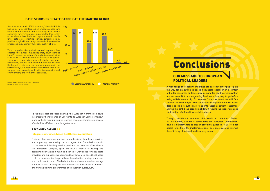Since its inception in 2005, Hamburg's Martini Klinik **100** has single-mindedly focused on prostate cancer care with a commitment to measure long-term health outcomes for every patient. In particular, this center of excellence has built an unprecedented, multilayer data set, collecting clinical outcomes (e.g., positive surgical), mortality rates and administrative processes (e.g., urinary function, quality of life).

This comprehensive patient-centred approach has enabled the clinic's multidisciplinary HCP team to identify the need for patients facing better complication rates to be assisted by more experienced surgeons. The results proved to be significantly higher than other institutions, and by 2013, Martini Klinik had become the largest prostate cancer treatment program in the world with 5,000 outpatient cases and more than 2,200 surgical cases annually, with patients coming from all over Germany and from other countries.

> To facilitate best-practices sharing, the European Commission could integrate further guidance on OBHC into its European Semester review, along with its existing country-specific recommendations on access, affordability, efficiency, and integrated care.

### RECOMMENDATION #6

#### Integrate outcomes-based healthcare in education

Training plays an important part in modernising healthcare services and improving care quality. In this regard, the Commission should collaborate with leading service providers and centres of excellence (e.g. Barcelona Campus, Spain and IRCAD, France) to develop and assist Member States in running a series of workshops for healthcare providers and clinicians to understand how outcomes-based healthcare could be implemented (especially on the collection, mining, and use of electronic health data). Similarly, the Commission should encourage Member States to integrate outcomes-based healthcare in medical and nursing training programmes and education curriculum.

A wide range of pioneering initiatives are currently emerging to pave the way for an outcomes-based healthcare approach in a context of limited resources and increased demand for healthcare innovation and services. But this burgeoning field has a long way to go before being widely adopted by EU Member States as countries still face considerable challenges in the collection and implementation of health data and do not sufficiently take into account patient outcomes. Driving this ambitious paradigm shift will require the cooperation and contribution of all healthcare stakeholders.

Though healthcare remains the remit of Member States, EU institutions, and more particularly the European Commission, have a significant role to play in providing guidance to EU Member States to facilitate the implementation of best practices and improve the efficiency of national healthcare systems.

# **Conclusions**

### OUR MESSAGE TO EUROPEAN POLITICAL LEADERS

### CASE STUDY: PROSTATE CANCER AT THE MARTINI KLINIK



BASED ON THE CONSENSUS DOCUMENT THE VALUE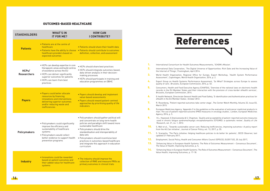

| <b>STAKEHOLDERS</b>         | <b>WHAT'S IN</b><br><b>IT FOR ME?</b>                                                                                                                                                                                       | <b>HOW CAN</b><br><b>I CONTRIBUTE?</b>                                                                                                                                                                                                                                                                                                                                                           |
|-----------------------------|-----------------------------------------------------------------------------------------------------------------------------------------------------------------------------------------------------------------------------|--------------------------------------------------------------------------------------------------------------------------------------------------------------------------------------------------------------------------------------------------------------------------------------------------------------------------------------------------------------------------------------------------|
| <b>Patients</b>             | • Patients are at the centre of<br>healthcare<br>• Patients have the ability to choose<br>healthcare providers based on<br>expected outcomes                                                                                | • Patients should share their health data<br>• Patients should contribute to outcomes<br>definition, collection, and assessment                                                                                                                                                                                                                                                                  |
| HCPs/<br><b>Researchers</b> | • HCPs can develop expertise in core<br>therapeutic areas and build centres<br>of excellence across the EU<br>• HCPs can deliver significantly<br>superior outcomes for patients<br>• HCPs can learn from best<br>practices | • HCPs should share best practices<br>• HCPs should integrate outcomes-based,<br>data-driven analysis in their decision-<br>making processes<br>• HCPs should participate in training and<br>education programmes on OBHC                                                                                                                                                                        |
| <b>Payers</b>               | • Payers could better allocate<br>resources by financing<br>innovations and interventions<br>delivering superior outcomes<br>and/or reducing waste and<br>inefficiencies                                                    | • Payers should develop and implement<br>value-based assessments<br>· Payers should reward patient-centred<br>approaches by prioritising quality of life<br>indicators                                                                                                                                                                                                                           |
| <b>Policymakers</b>         | • Policymakers could significantly<br>improve the efficiency and<br>sustainability of healthcare<br>systems<br>· Policymakers would collect<br>better evidence to support health<br>prevention programs                     | · Policymakers should gather political will<br>and concentrate on long-term health<br>policies and paradigm shift toward more<br>sustainable healthcare<br>• Policymakers should drive the<br>standardisation and interoperability of<br>data sets<br>· Policymakers should incentivise best<br>practices in outcomes-based healthcare<br>and integrate this approach in education<br>curriculum |
| <b>Industry</b>             | · Innovations could be rewarded<br>based on patient outcomes and<br>their added-value for healthcare<br>systems                                                                                                             | . The industry should improve the<br>collection of RWE and measure PROs as<br>primary outcomes in clinical trials                                                                                                                                                                                                                                                                                |

# References

- 1. International Consortium for Health Outcomes Measurements, 'ICHOM's Mission'.
- 2. International Data Corporation, 'The Digital Universe of Opportunities: Rich Date and the Increasing Value of the Internet of Things', Framingham, April 2014.
- Assessment', Copenhagen, World Health Organization, 2016, p. 2.
- 4. Expert Group on Health Systems Performance Assessment, 'So What? Strategies across Europe to assess quality of care', Brussels, European Commission, 2016, p. 52.
- 5. Consumers, Health and Food Executive Agency (CHAFEA), 'Overview of the national laws on electronic health Brussels, European Commission, 2014.
- 6. E-health Network, Directorate General Health and Food Safety, 'E-identification and Authentication practices for eHealth in the EU Member States', October 2012.
- 7. R. Rosenberg, 'Patient reported outcomes take center stage', The Center Watch Monthly, Volume 22, Issue 03, March 2015.
- 8. European Medicines Agency, 'Appendix 2 to the guideline on the evaluation of anticancer medicinal products in Agency, 2016, p. 5.
- 9. K.L. Haywood, S.Staniszewska & S. Chapman, 'Quality and acceptability of patient-reported outcome measures Research, vol. 21, no. 1, 2012.
- 10. S. Wait et al., 'Towards sustainable cancer care: Reducing inefficiencies, improving outcomes—A policy report from the All.Can initiative', Journal of Cancer Policy, vol. 13, 2017, p. 55.
- 11. S. Scarpetta, 'The Paris initiative: Helping healthcare policies to do better for patients', OECD Observer, last updated 21 February 2017,
- 12. Employment, Social Policy, Health and Consumer Affairs Council (EPSCO), EU2017.EE, 20 July 2017,
- 13. Enhancing Value in European Health Systems: The Role of Outcomes Measurement Consensus Document', The Value of Health, Improving Outcomes, p. 5,
- 14. 'Enhancing Value in European Health Systems: The Role of Outcomes Measurement Consensus Document', The Value Health, Improving Outcomes, p. 17-18.



3. World Health Organization, Regional Office for Europe, Expert Workshop, 'Health System Performance

records in the EU Member States and their interaction with the provision of cross-border eHealth services',

man: The use of patient-reported outcome (PRO) measures in oncology studies', London, European Medicines

used in chronic fatigue syndrome/myalgic encephalomyelitis (CFS/ME): a systematic review', Quality of Life

### OUTCOMES-BASED HEALTHCARE